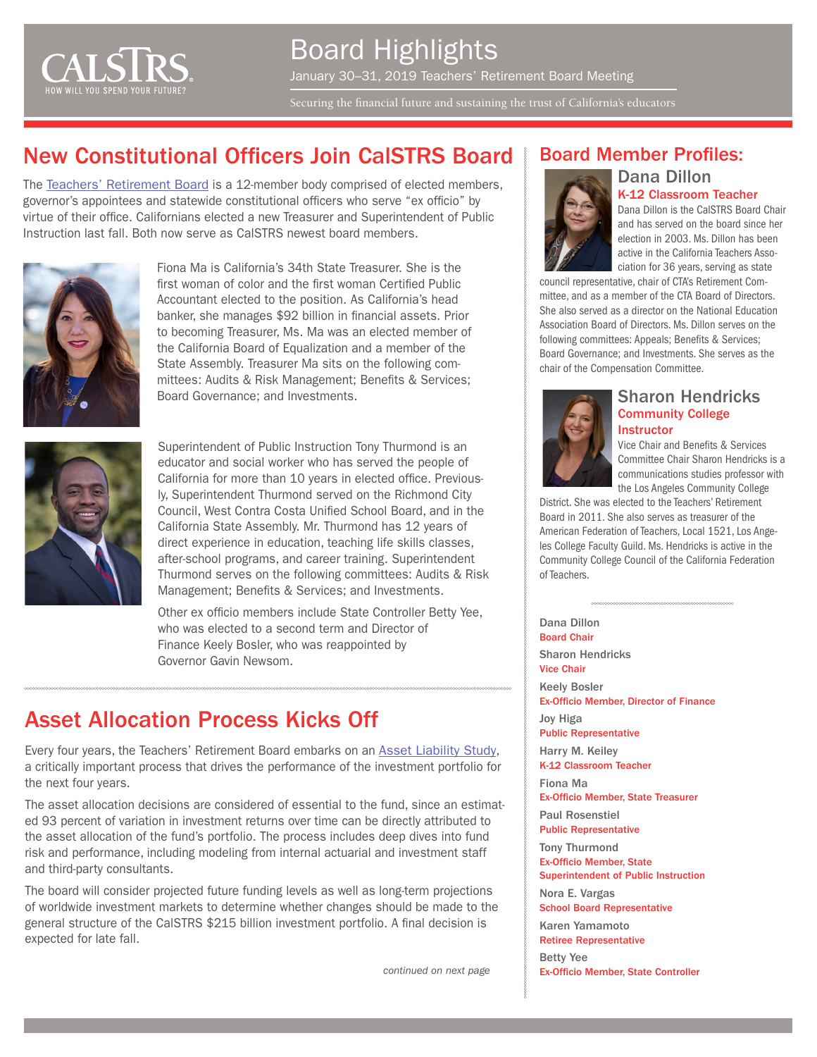

Board Highlights January 30–31, 2019 Teachers' Retirement Board Meeting Securing the financial future and sustaining the trust of California's educators

### New Constitutional Officers Join CalSTRS Board

The [Teachers' Retirement Board](https://www.calstrs.com/board-members) is a 12-member body comprised of elected members, governor's appointees and statewide constitutional officers who serve "ex officio" by virtue of their office. Californians elected a new Treasurer and Superintendent of Public Instruction last fall. Both now serve as CalSTRS newest board members.



Fiona Ma is California's 34th State Treasurer. She is the first woman of color and the first woman Certified Public Accountant elected to the position. As California's head banker, she manages \$92 billion in financial assets. Prior to becoming Treasurer, Ms. Ma was an elected member of the California Board of Equalization and a member of the State Assembly. Treasurer Ma sits on the following committees: Audits & Risk Management; Benefits & Services; Board Governance; and Investments.



Superintendent of Public Instruction Tony Thurmond is an educator and social worker who has served the people of California for more than 10 years in elected office. Previously, Superintendent Thurmond served on the Richmond City Council, West Contra Costa Unified School Board, and in the California State Assembly. Mr. Thurmond has 12 years of direct experience in education, teaching life skills classes, after-school programs, and career training. Superintendent Thurmond serves on the following committees: Audits & Risk Management; Benefits & Services; and Investments.

Other ex officio members include State Controller Betty Yee, who was elected to a second term and Director of Finance Keely Bosler, who was reappointed by Governor Gavin Newsom.

### Asset Allocation Process Kicks Off

Every four years, the Teachers' Retirement Board embarks on an [Asset Liability Study,](http://resources.calstrs.com/publicdocs/Page/CommonPage.aspx?PageName=DocumentDownload&Id=f62dee81-5b38-44e4-abef-260938d1016d) a critically important process that drives the performance of the investment portfolio for the next four years.

The asset allocation decisions are considered of essential to the fund, since an estimated 93 percent of variation in investment returns over time can be directly attributed to the asset allocation of the fund's portfolio. The process includes deep dives into fund risk and performance, including modeling from internal actuarial and investment staff and third-party consultants.

The board will consider projected future funding levels as well as long-term projections of worldwide investment markets to determine whether changes should be made to the general structure of the CalSTRS \$215 billion investment portfolio. A final decision is expected for late fall.

*continued on next page*

#### Board Member Profiles:

Dana Dillon



Dana Dillon is the CalSTRS Board Chair and has served on the board since her election in 2003. Ms. Dillon has been active in the California Teachers Association for 36 years, serving as state

K-12 Classroom Teacher

council representative, chair of CTA's Retirement Committee, and as a member of the CTA Board of Directors. She also served as a director on the National Education Association Board of Directors. Ms. Dillon serves on the following committees: Appeals; Benefits & Services; Board Governance; and Investments. She serves as the chair of the Compensation Committee.



#### Sharon Hendricks Community College **Instructor**

Vice Chair and Benefits & Services Committee Chair Sharon Hendricks is a communications studies professor with the Los Angeles Community College

District. She was elected to the Teachers' Retirement Board in 2011. She also serves as treasurer of the American Federation of Teachers, Local 1521, Los Angeles College Faculty Guild. Ms. Hendricks is active in the Community College Council of the California Federation of Teachers.

Dana Dillon Board Chair Sharon Hendricks Vice Chair Keely Bosler Ex-Officio Member, Director of Finance Joy Higa Public Representative Harry M. Keiley K-12 Classroom Teacher Fiona Ma Ex-Officio Member, State Treasurer Paul Rosenstiel Public Representative Tony Thurmond Ex-Officio Member, State Superintendent of Public Instruction Nora E. Vargas School Board Representative Karen Yamamoto Retiree Representative Betty Yee

Ex-Officio Member, State Controller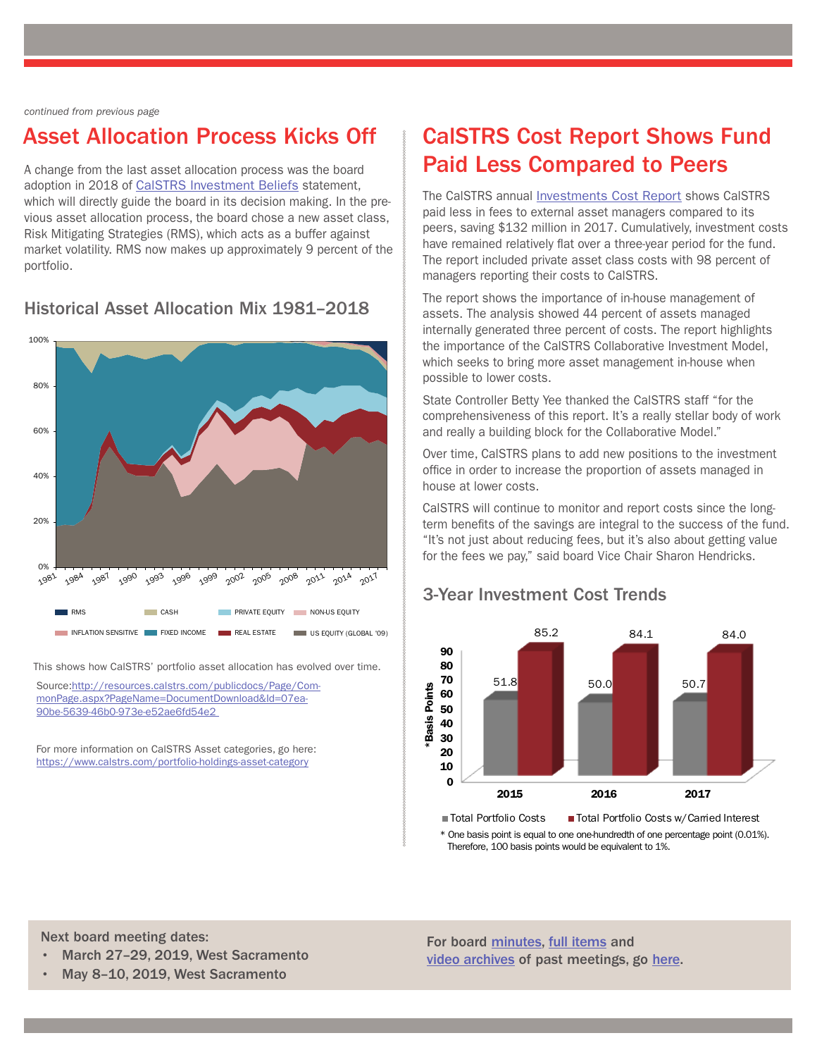#### *continued from previous page*

### Asset Allocation Process Kicks Off

A change from the last asset allocation process was the board adoption in 2018 of [CalSTRS Investment Beliefs](https://www.calstrs.com/sites/main/files/file-attachments/calstrs_investment_beliefs.pdf) statement, which will directly guide the board in its decision making. In the previous asset allocation process, the board chose a new asset class, Risk Mitigating Strategies (RMS), which acts as a buffer against market volatility. RMS now makes up approximately 9 percent of the portfolio.

Historical Asset Allocation Mix 1981–2018



This shows how CalSTRS' portfolio asset allocation has evolved over time.

Source:[http://resources.calstrs.com/publicdocs/Page/Com](http://resources.calstrs.com/publicdocs/Page/CommonPage.aspx?PageName=DocumentDownload&Id=07ea90be-5639-46b0-973e-e52ae6fd54e2)[monPage.aspx?PageName=DocumentDownload&Id=07ea-](http://resources.calstrs.com/publicdocs/Page/CommonPage.aspx?PageName=DocumentDownload&Id=07ea90be-5639-46b0-973e-e52ae6fd54e2)[90be-5639-46b0-973e-e52ae6fd54e2](http://resources.calstrs.com/publicdocs/Page/CommonPage.aspx?PageName=DocumentDownload&Id=07ea90be-5639-46b0-973e-e52ae6fd54e2)

For more information on CalSTRS Asset categories, go here: <https://www.calstrs.com/portfolio-holdings-asset-category>

# CalSTRS Cost Report Shows Fund Paid Less Compared to Peers

The CalSTRS annual [Investments Cost Report](http://resources.calstrs.com/publicdocs/Page/CommonPage.aspx?PageName=DocumentDownload&Id=74134417-1b50-4511-a5b7-a46942c4c61e) shows CalSTRS paid less in fees to external asset managers compared to its peers, saving \$132 million in 2017. Cumulatively, investment costs have remained relatively flat over a three-year period for the fund. The report included private asset class costs with 98 percent of managers reporting their costs to CalSTRS.

The report shows the importance of in-house management of assets. The analysis showed 44 percent of assets managed internally generated three percent of costs. The report highlights the importance of the CalSTRS Collaborative Investment Model, which seeks to bring more asset management in-house when possible to lower costs.

State Controller Betty Yee thanked the CalSTRS staff "for the comprehensiveness of this report. It's a really stellar body of work and really a building block for the Collaborative Model."

Over time, CalSTRS plans to add new positions to the investment office in order to increase the proportion of assets managed in house at lower costs.

CalSTRS will continue to monitor and report costs since the longterm benefits of the savings are integral to the success of the fund. "It's not just about reducing fees, but it's also about getting value for the fees we pay," said board Vice Chair Sharon Hendricks.

#### 85.2 84.1 84.0 90 80 70 51.8 50.0 50.7 Points \*Basis Points 60 50 Basis I 40 30 20 10 0 2015 2016 2017 ■ Total Portfolio Costs ■ Total Portfolio Costs w/Carried Interest

#### 3-Year Investment Cost Trends

\* One basis point is equal to one one-hundredth of one percentage point (0.01%). Therefore, 100 basis points would be equivalent to 1%.

Next board meeting dates:

• March 27–29, 2019, West Sacramento

For board [minutes](http://resources.calstrs.com/publicdocs/Page/CalSTRSComWrapper.aspx?PageName=PublicMeetingMinutes), [full items](http://resources.calstrs.com/publicdocs/Page/CalSTRSComWrapper.aspx?PageName=PublicBoardAgenda) and [video archives](http://www.calstrs.com/board-meeting-video-archive) of past meetings, go [here.](https://www.calstrs.com/teachers-retirement-board)

• May 8–10, 2019, West Sacramento